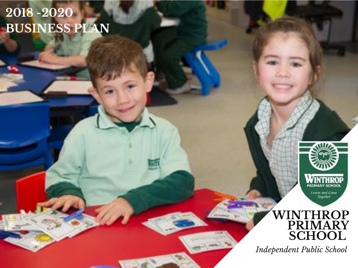# **2018 -2020 BUSINESS PLAN**



### **WINTHROP PRIMARY SCHOOL**

*Independent Public School*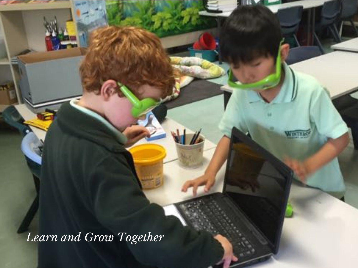*Learn and Grow Together*

WINTHIA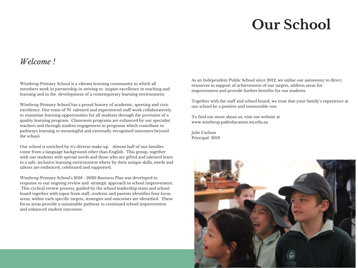# **Our School**

### *Welcome !*

Winthrop Primary School is a vibrant learning community in which all members work in partnership in striving to inspire excellence in teaching and learning and in the development of a contemporary learning environment.

Winthrop Primary School has a proud history of academic, sporting and civic excellence. Our team of 70 talented and experienced staff work collaboratively to maximise learning opportunities for all students through the provision of a quality learning program. Classroom programs are enhanced by our specialist teachers and through student engagement in programs which contribute to pathways learning to meaningful and externally recognised outcomes beyond the school.

Our school is enriched by it's diverse make up. Almost half of our families come from a language background other than English. This group, together with our students with special needs and those who are gifted and talented learn in a safe, inclusive learning environment where by their unique skills, needs and talents are embraced, celebrated and supported.

Winthrop Primary School's 2018 - 2020 Business Plan was developed in response to our ongoing review and strategic approach to school improvement. This cyclical review process, guided by the school leadership team and school board together with input from staff, students and parents identifies four focus areas, within each specific targets, strategies and outcomes are identified. These focus areas provide a sustainable pathway to continued school improvement and enhanced student outcomes.

As an Independent Public School since 2012, we utilise our autonomy to direct resources in support of achievement of our targets, address areas for improvement and provide further benefits for our students.

Together with the staff and school board, we trust that your family's experience at our school be a positive and memorable one.

To find out more about us, visit our website at www.winthrop.ps@education.wa.edu.au

Julie Carlson Principal 2018

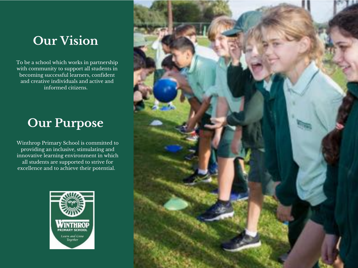# **Our Vision**

To be a school which works in partnership with community to support all students in becoming successful learners, confident and creative individuals and active and informed citizens.

# **Our Purpose**

Winthrop Primary School is committed to providing an inclusive, stimulating and innovative learning environment in which all students are supported to strive for excellence and to achieve their potential.



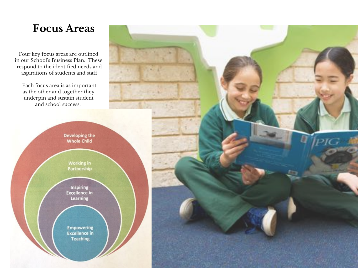Four key focus areas are outlined in our School's Business Plan. These respond to the identified needs and aspirations of students and staff

Each focus area is as important as the other and together they underpin and sustain student and school success.

> Developing the **Whole Child**

> > **Working in** Partnership

Inspiring **Excellence in** Learning

**Empowering Excellence in Teaching** 

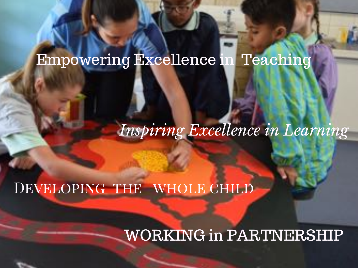# Empowering Excellence in Teaching

*Inspiring Excellence in Learning*

# DEVELOPING THE WHOLE CHILD

# WORKING in PARTNERSHIP

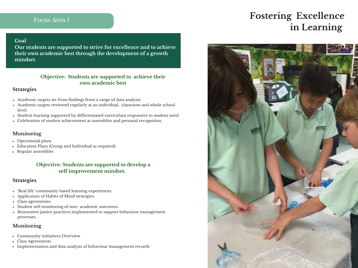#### **Goal**

**Our students are supported to strive for excellence and to achieve their own academic best through the development of a growth mindset.**

#### **Objective: Students are supported to achieve their own academic best**

#### **Strategies**

- Academic targets set from findings from a range of data analysis.
- Academic targets reviewed regularly at an individual, classroom and whole school level.
- Student learning supported by differentiated curriculum responsive to student need.
- Celebration of student achievement at assemblies and personal recognition.

#### **Monitoring**

- Operational plans
- Education Plans (Group and Individual as required)
- Regular assemblies

#### **Objective: Students are supported to develop a self improvement mindset.**

#### **Strategies**

- 'Real life' community based learning experiences.
- Application of Habits of Mind strategies.
- Class agreements.
- Student self monitoring of non- academic outcomes.
- Restorative justice practices implemented to support behaviour management processes.

#### **Monitoring**

- Community initiatives Overview
- Class Agreements
- Implementation and data analysis of behaviour management records

## **Fostering Excellence in Learning**

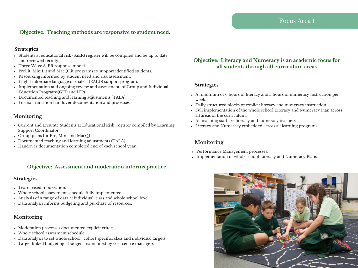#### **Objective: Teaching methods are responsive to student need.**

#### **Strategies**

- Students at educational risk (SaER) register will be compiled and be up to date and reviewed termly.
- Three Wave SaER response model.
- PreLit, MiniLit and MacQLit programs to support identified students.
- Resourcing informed by student need and risk assessment.
- English alternate language or dialect (EALD) support program.
- Implementation and ongoing review and assessment of Group and Individual Education Programs(GEP and IEP).
- Documented teaching and learning adjustments (TALA).
- Formal transition handover documentation and processes.

#### **Monitoring**

- Current and accurate Students at Educational Risk register compiled by Learning Support Coordinator
- Group plans for Pre, Mini and MacQLit
- Documented teaching and learning adjustments (TALA)
- Handover documentation completed end of each school year.

#### **Objective: Assessment and moderation informs practice**

#### **Strategies**

- Team based moderation.
- Whole school assessment schedule fully implemented.
- Analysis of a range of data at individual, class and whole school level.
- Data analysis informs budgeting and purchase of resources.

#### **Monitoring**

- Moderation processes documented explicit criteria
- Whole school assessment schedule
- Data analysis to set whole school , cohort specific, class and individual targets
- Target linked budgeting budgets maintained by cost centre managers.

#### **Objective: Literacy and Numeracy is an academic focus for all students through all curriculum areas**

#### **Strategies**

- A minimum of 6 hours of literacy and 5 hours of numeracy instruction per week.
- Daily structured blocks of explicit literacy and numeracy instruction.
- Full implementation of the whole school Literacy and Numeracy Plan across all areas of the curriculum.
- All teaching staff are literacy and numeracy teachers.
- Literacy and Numeracy embedded across all learning programs.

- Performance Management processes.
- Implementation of whole school Literacy and Numeracy Plans

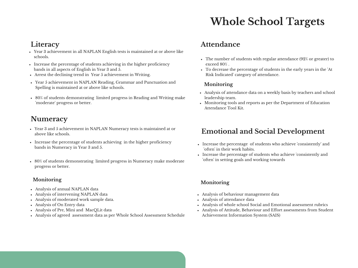# **Whole School Targets**

### **Literacy**

- Year 3 achievement in all NAPLAN English tests is maintained at or above like schools.
- Increase the percentage of students achieving in the higher proficiency bands in all aspects of English in Year 3 and 5.
- Arrest the declining trend in Year 5 achievement in Writing.
- Year 5 achievement in NAPLAN Reading, Grammar and Punctuation and Spelling is maintained at or above like schools.
- 80% of students demonstrating limited progress in Reading and Writing make 'moderate' progress or better.

### **Numeracy**

- Year 3 and 5 achievement in NAPLAN Numeracy tests is maintained at or above like schools.
- Increase the percentage of students achieving in the higher proficiency bands in Numeracy in Year 3 and 5.
- 80% of students demonstrating limited progress in Numeracy make moderate progress or better.

#### **Monitoring**

- Analysis of annual NAPLAN data
- Analysis of intervening NAPLAN data
- Analysis of moderated work sample data.
- Analysis of On Entry data
- Analysis of Pre, Mini and MacQLit data
- Analysis of agreed assessment data as per Whole School Assessment Schedule

### **Attendance**

- The number of students with regular attendance (92% or greater) to exceed 80% .
- To decrease the percentage of students in the early years in the 'At Risk Indicated' category of attendance.

#### **Monitoring**

- Analysis of attendance data on a weekly basis by teachers and school leadership team.
- Monitoring tools and reports as per the Department of Education Attendance Tool Kit.

### **Emotional and Social Development**

- Increase the percentage of students who achieve 'consistently' and 'often' in their work habits.
- Increase the percentage of students who achieve 'consistently and 'often' in setting goals and working towards

- Analysis of behaviour management data
- Analysis of attendance data
- Analysis of whole school Social and Emotional assessment rubrics
- Analysis of Attitude, Behaviour and Effort assessments from Student Achievement Information System (SAIS)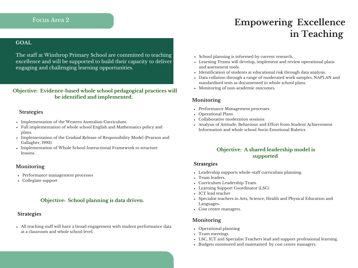## Focus Area 2 **Empowering Excellence in Teaching**

#### **GOAL**

The staff at Winthrop Primary School are committed to teaching excellence and will be supported to build their capacity to deliver engaging and challenging learning opportunities.

#### **Objective: Evidence-based whole school pedagogical practices will be identified and implemented.**

#### **Strategies**

- Implementation of the Western Australian Curriculum.
- Full implementation of whole school English and Mathematics policy and plans.
- Implementation of the Gradual Release of Responsibility Model (Pearson and Gallagher, 1993)
- Implementation of Whole School Instructional Framework to structure lessons.

#### **Monitoring**

- Performance management processes
- Collegiate support

#### **Objective: School planning is data driven.**

#### **Strategies**

All teaching staff will have a broad engagement with student performance data at a classroom and whole school level.

- School planning is informed by current research.
- Learning Teams will develop, implement and review operational plans and assessment tools.
- Identification of students at educational risk through data analysis.
- Data collation through a range of moderated work samples, NAPLAN and standardised tests as documented in whole school plans.
- Monitoring of non-academic outcomes.

#### **Monitoring**

- Performance Management processes
- Operational Plans
- Collaborative moderation sessions
- Analysis of Attitude, Behaviour and Effort from Student Achievement Information and whole school Socio Emotional Rubrics.

#### **Objective: A shared leadership model is supported**

#### **Strategies**

- Leadership supports whole-staff curriculum planning.
- Team leaders.
- Curriculum Leadership Team.
- Learning Support Coordinator (LSC)
- ICT lead teacher
- Specialist teachers in Arts, Science, Health and Physical Education and Languages.
- Cost centre managers.

- Operational planning
- Team meetings
- LSC, ICT and Specialist Teachers lead and support professional learning.
- Budgets monitored and maintained by cost centre managers.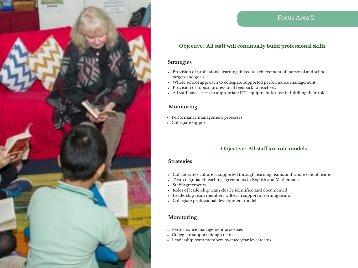

#### **Objective: All staff will continually build professional skills.**

#### **Strategies**

- Provision of professional learning linked to achievement of personal and school targets and goals.
- Whole school approach to collegiate supported performance management.
- Provision of robust, professional feedback to teachers.
- All staff have access to appropriate ICT equipment for use in fulfilling their role.

#### **Monitoring**

- Performance management processes
- Collegiate support

#### **Objective: All staff are role models**

#### **Strategies**

- Collaborative culture is supported through learning teams and whole school teams.
- Team negotiated teaching agreements in English and Mathematics.
- Staff Agreements
- Roles of leadership team clearly identified and documented.
- Leadership team members will each support a learning team.
- Collegiate professional development model

- Performance management processes
- Collegiate support though teams
- Leadership team members oversee year level teams.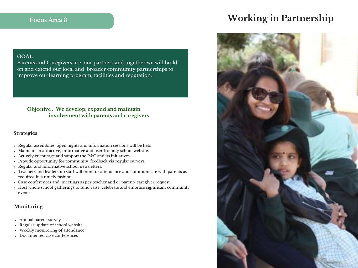## **Focus Area <sup>3</sup> Working in Partnership**



#### **GOAL**

Parents and Caregivers are our partners and together we will build on and extend our local and broader community partnerships to improve our learning program, facilities and reputation.

#### **Objective : We develop, expand and maintain involvement with parents and caregivers**

#### **Strategies**

- Regular assemblies, open nights and information sessions will be held.
- Maintain an attractive, informative and user friendly school website.
- Actively encourage and support the P&C and its initiatives.
- Provide opportunity for community feedback via regular surveys.
- Regular and informative school newsletters.
- Teachers and leadership staff will monitor attendance and communicate with parents as required in a timely fashion.
- Case conferences and meetings as per teacher and or parent/ caregiver request.
- Host whole school gatherings to fund raise, celebrate and embrace significant community events.

- Annual parent survey
- Regular update of school website
- Weekly monitoring of attendance
- Documented case conferences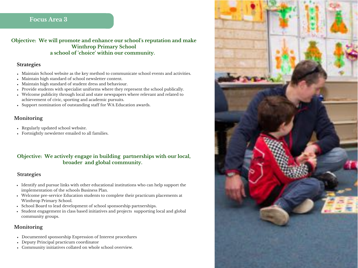**Objective: We will promote and enhance our school's reputation and make Winthrop Primary School a school of 'choice' within our community.**

#### **Strategies**

- Maintain School website as the key method to communicate school events and activities.
- Maintain high standard of school newsletter content.  $\bullet$
- Maintain high standard of student dress and behaviour.  $\bullet$
- Provide students with specialist uniforms where they represent the school publically.  $\bullet$
- Welcome publicity through local and state newspapers where relevant and related to achievement of civic, sporting and academic pursuits.
- Support nomination of outstanding staff for WA Education awards.

#### **Monitoring**

- Regularly updated school website.
- Fortnightly newsletter emailed to all families.

#### **Objective: We actively engage in building partnerships with our local, broader and global community.**

#### **Strategies**

- Identify and pursue links with other educational institutions who can help support the implementation of the schools Business Plan.
- Welcome pre-service Education students to complete their practicum placements at Winthrop Primary School.
- School Board to lead development of school sponsorship partnerships.
- Student engagement in class based initiatives and projects supporting local and global community groups.

- Documented sponsorship Expression of Interest procedures
- Deputy Principal practicum coordinator
- Community initiatives collated on whole school overview.

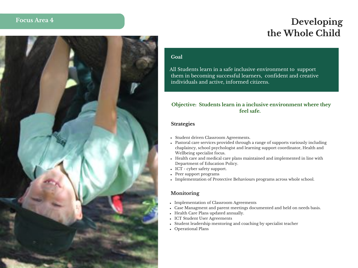## **Developing the Whole Child**



#### **Goal**

All Students learn in a safe inclusive environment to support them in becoming successful learners, confident and creative individuals and active, informed citizens.

#### **Objective: Students learn in a inclusive environment where they feel safe.**

#### **Strategies**

- Student driven Classroom Agreements.
- Pastoral care services provided through a range of supports variously including chaplaincy, school psychologist and learning support coordinator, Health and Wellbeing specialist focus.
- Health care and medical care plans maintained and implemented in line with Department of Education Policy.
- ICT cyber safety support.
- Peer support programs
- Implementation of Protective Behaviours programs across whole school.

- Implementation of Classroom Agreements
- Case Managment and parent meetings documented and held on needs basis.
- Health Care Plans updated annually.
- ICT Student User Agreements
- Student leadership mentoring and coaching by specialist teacher
- Operational Plans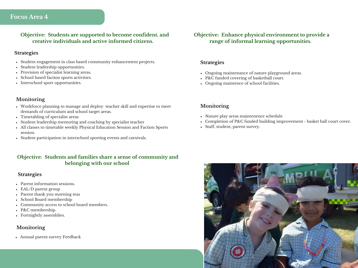**<sup>O</sup> Focus Area 4 bjective: Students are supported to become confident, and creative individuals and active informed citizens.**

#### **Strategies**

- Student engagement in class based community enhancement projects.
- Student leadership opportunities.

Focus Area 4

- Provision of specialist learning areas.
- School based faction sports activities.
- Interschool sport opportunities.

#### **Monitoring**

- Workforce planning to manage and deploy teacher skill and expertise to meet demands of curriculum and school target areas.
- Timetabling of specialist areas
- Student leadership mentoring and coaching by specialist teacher
- All classes to timetable weekly Physical Education Session and Faction Sports session.
- Student participation in interschool sporting events and carnivals.

#### **Objective: Students and families share a sense of community and belonging with our school**

#### **Strategies**

- Parent information sessions.
- EAL/D parent group
- Parent thank you morning teas
- School Board membership  $\bullet$
- Community access to school board members.
- P&C membership.
- Fortnightly assemblies.

#### **Monitoring**

Annual parent survey Feedback

#### **Objective: Enhance physical environment to provide a range of informal learning opportunities.**

#### **Strategies**

- Ongoing maintenance of nature playground areas.
- P&C funded covering of basketball court.
- Ongoing maintence of school facilities.

- Nature play areas maintenence schedule
- Completion of P&C funded building improvement basket ball court cover.
- Staff, student, parent survey.